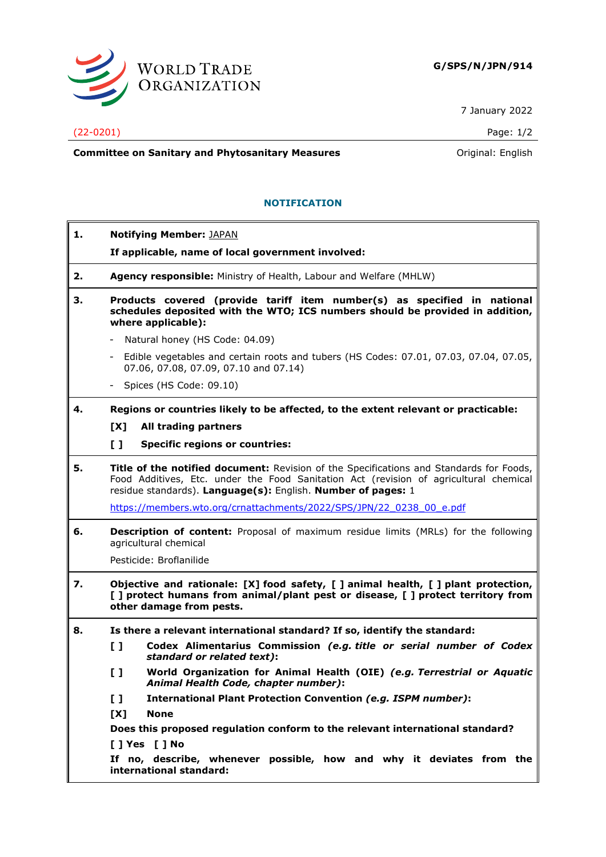

7 January 2022

## (22-0201) Page: 1/2

**Committee on Sanitary and Phytosanitary Measures Committee on Sanitary and Phytosanitary Measures Committee on Sanitary and Phytosanitary Measures** 

## **NOTIFICATION**

| 1. | <b>Notifying Member: JAPAN</b>                                                                                                                                                                                                                   |
|----|--------------------------------------------------------------------------------------------------------------------------------------------------------------------------------------------------------------------------------------------------|
|    | If applicable, name of local government involved:                                                                                                                                                                                                |
| 2. | Agency responsible: Ministry of Health, Labour and Welfare (MHLW)                                                                                                                                                                                |
| З. | Products covered (provide tariff item number(s) as specified in national<br>schedules deposited with the WTO; ICS numbers should be provided in addition,<br>where applicable):                                                                  |
|    | Natural honey (HS Code: 04.09)                                                                                                                                                                                                                   |
|    | Edible vegetables and certain roots and tubers (HS Codes: 07.01, 07.03, 07.04, 07.05,<br>$\sim$<br>07.06, 07.08, 07.09, 07.10 and 07.14)                                                                                                         |
|    | Spices (HS Code: 09.10)                                                                                                                                                                                                                          |
| 4. | Regions or countries likely to be affected, to the extent relevant or practicable:                                                                                                                                                               |
|    | [X]<br>All trading partners                                                                                                                                                                                                                      |
|    | $\mathbf{L}$<br><b>Specific regions or countries:</b>                                                                                                                                                                                            |
| 5. | Title of the notified document: Revision of the Specifications and Standards for Foods,<br>Food Additives, Etc. under the Food Sanitation Act (revision of agricultural chemical<br>residue standards). Language(s): English. Number of pages: 1 |
|    | https://members.wto.org/crnattachments/2022/SPS/JPN/22 0238 00 e.pdf                                                                                                                                                                             |
| 6. | <b>Description of content:</b> Proposal of maximum residue limits (MRLs) for the following<br>agricultural chemical                                                                                                                              |
|    | Pesticide: Broflanilide                                                                                                                                                                                                                          |
| 7. | Objective and rationale: [X] food safety, [ ] animal health, [ ] plant protection,<br>[] protect humans from animal/plant pest or disease, [] protect territory from<br>other damage from pests.                                                 |
| 8. | Is there a relevant international standard? If so, identify the standard:<br>$\mathbf{L}$<br>Codex Alimentarius Commission (e.g. title or serial number of Codex<br>standard or related text):                                                   |
|    | World Organization for Animal Health (OIE) (e.g. Terrestrial or Aquatic<br>[ ]<br>Animal Health Code, chapter number):                                                                                                                           |
|    | <b>International Plant Protection Convention (e.g. ISPM number):</b><br>$\mathbf{I}$                                                                                                                                                             |
|    | [X]<br><b>None</b>                                                                                                                                                                                                                               |
|    | Does this proposed regulation conform to the relevant international standard?<br>[ ] Yes [ ] No                                                                                                                                                  |
|    | If no, describe, whenever possible, how and why it deviates from the<br>international standard:                                                                                                                                                  |